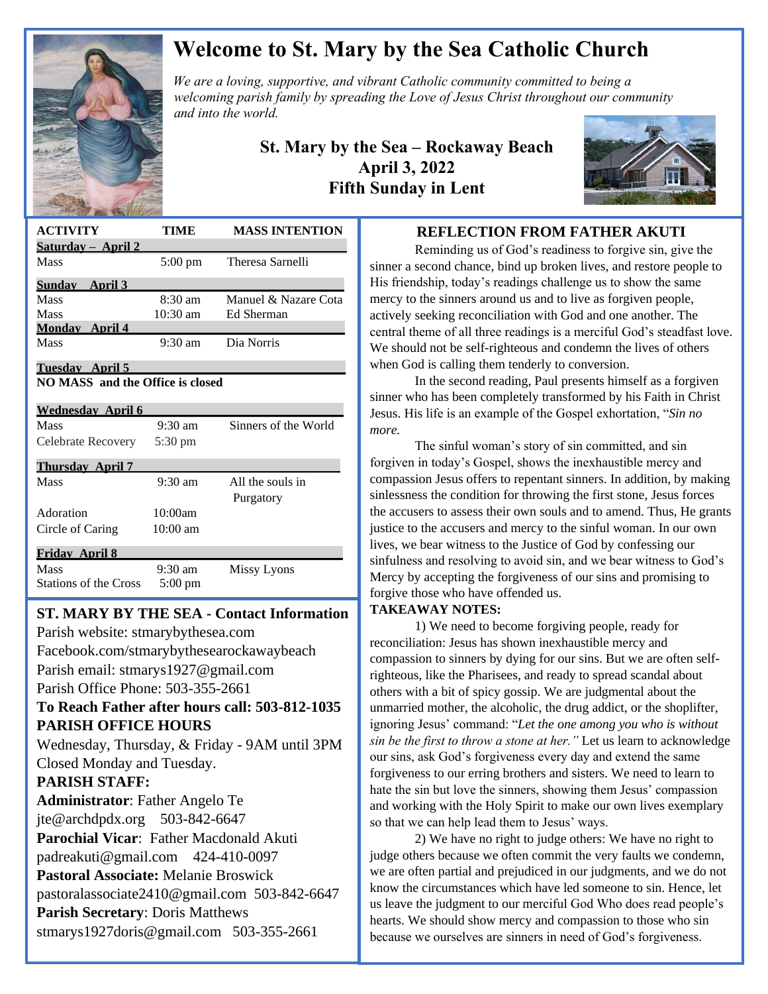

# **Welcome to St. Mary by the Sea Catholic Church**

*We are a loving, supportive, and vibrant Catholic community committed to being a We are a loving, supportive, and vibrant Catholic community committed to being a a spreading the Christ throughout our mitted to being a a manufold of the Christ throughout our mitted to being a a manufold of the Christ welcoming parish family by spreading the Love of Jesus Christ throughout our community and into the world.*

> **St. Mary by the Sea – Rockaway Beach April 3, 2022 Fifth Sunday in Lent**



| <b>ACTIVITY</b>                  | TIME              | <b>MASS INTENTION</b> |
|----------------------------------|-------------------|-----------------------|
| Saturday - April 2               |                   |                       |
| Mass                             | $5:00 \text{ pm}$ | Theresa Sarnelli      |
| Sunday April 3                   |                   |                       |
| Mass                             | $8:30 \text{ am}$ | Manuel & Nazare Cota  |
| <b>Mass</b>                      | $10:30$ am        | Ed Sherman            |
| <b>Monday April 4</b>            |                   |                       |
| Mass                             | $9:30 \text{ am}$ | Dia Norris            |
|                                  |                   |                       |
| <b>Tuesday April 5</b>           |                   |                       |
| NO MASS and the Office is closed |                   |                       |
|                                  |                   |                       |
| Wednesday April 6                |                   |                       |
| Mass                             | $9:30 \text{ am}$ | Sinners of the World  |
| Celebrate Recovery               | 5:30 pm           |                       |
|                                  |                   |                       |
| Thursday April 7                 |                   |                       |
| <b>Mass</b>                      | $9:30 \text{ am}$ | All the souls in      |
|                                  |                   | Purgatory             |
| Adoration                        | 10:00am           |                       |
| Circle of Caring                 | $10:00$ am        |                       |
|                                  |                   |                       |
| Friday April 8                   |                   |                       |
| <b>Mass</b>                      | $9:30$ am         | Missy Lyons           |
| <b>Stations of the Cross</b>     | $5:00$ pm         |                       |
|                                  |                   |                       |

# **ST. MARY BY THE SEA - Contact Information**

 Facebook.com/stmarybythesearockawaybeach Parish website: stmarybythesea.com

Parish email: stmarys1927@gmail.com

Parish Office Phone: 503-355-2661

 

#### **To Reach Father after hours call: 503-812-1035 PARISH OFFICE HOURS**

Wednesday, Thursday, & Friday - 9AM until 3PM Closed Monday and Tuesday. **PARISH STAFF:**

**Administrator**: Father Angelo Te jte@archdpdx.org 503-842-6647 **Parochial Vicar**: Father Macdonald Akuti padreakuti@gmail.com 424-410-0097 **Pastoral Associate:** Melanie Broswick pastoralassociate2410@gmail.com 503-842-6647 **Parish Secretary**: Doris Matthews stmarys1927doris@gmail.com 503-355-2661

#### **REFLECTION FROM FATHER AKUTI**

Reminding us of God's readiness to forgive sin, give the sinner a second chance, bind up broken lives, and restore people to His friendship, today's readings challenge us to show the same mercy to the sinners around us and to live as forgiven people, actively seeking reconciliation with God and one another. The central theme of all three readings is a merciful God's steadfast love. We should not be self-righteous and condemn the lives of others when God is calling them tenderly to conversion.

In the second reading, Paul presents himself as a forgiven sinner who has been completely transformed by his Faith in Christ Jesus. His life is an example of the Gospel exhortation, "*Sin no more.*

The sinful woman's story of sin committed, and sin forgiven in today's Gospel, shows the inexhaustible mercy and compassion Jesus offers to repentant sinners. In addition, by making sinlessness the condition for throwing the first stone, Jesus forces the accusers to assess their own souls and to amend. Thus, He grants justice to the accusers and mercy to the sinful woman. In our own lives, we bear witness to the Justice of God by confessing our sinfulness and resolving to avoid sin, and we bear witness to God's Mercy by accepting the forgiveness of our sins and promising to forgive those who have offended us.

#### **TAKEAWAY NOTES:**

1) We need to become forgiving people, ready for reconciliation: Jesus has shown inexhaustible mercy and compassion to sinners by dying for our sins. But we are often selfrighteous, like the Pharisees, and ready to spread scandal about others with a bit of spicy gossip. We are judgmental about the unmarried mother, the alcoholic, the drug addict, or the shoplifter, ignoring Jesus' command: "*Let the one among you who is without sin be the first to throw a stone at her."* Let us learn to acknowledge our sins, ask God's forgiveness every day and extend the same forgiveness to our erring brothers and sisters. We need to learn to hate the sin but love the sinners, showing them Jesus' compassion and working with the Holy Spirit to make our own lives exemplary so that we can help lead them to Jesus' ways.

2) We have no right to judge others: We have no right to judge others because we often commit the very faults we condemn, we are often partial and prejudiced in our judgments, and we do not know the circumstances which have led someone to sin. Hence, let us leave the judgment to our merciful God Who does read people's hearts. We should show mercy and compassion to those who sin because we ourselves are sinners in need of God's forgiveness.